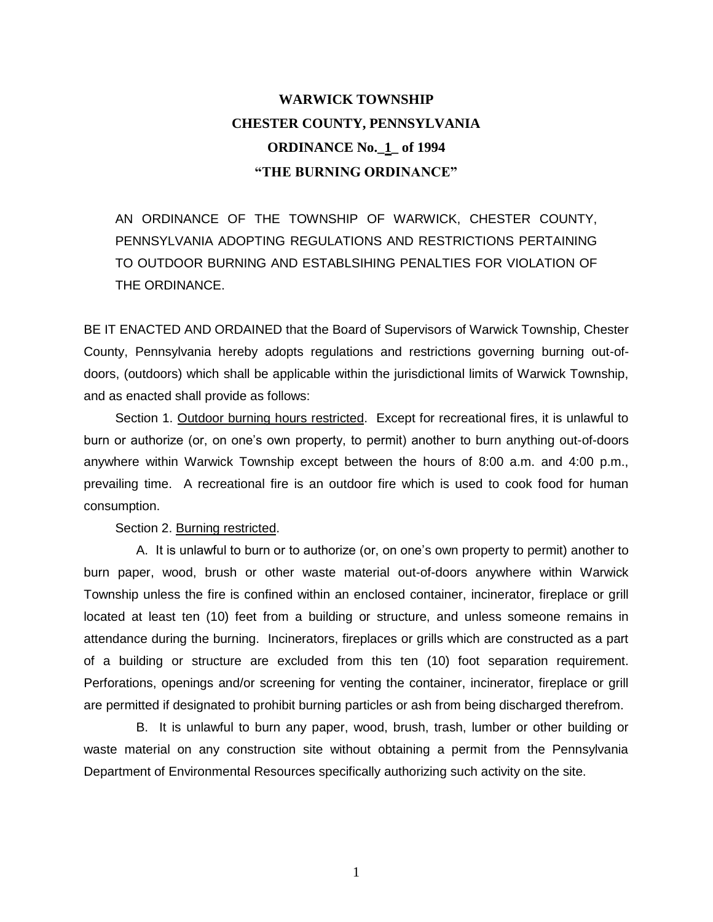## **WARWICK TOWNSHIP CHESTER COUNTY, PENNSYLVANIA ORDINANCE No.\_1\_ of 1994 "THE BURNING ORDINANCE"**

AN ORDINANCE OF THE TOWNSHIP OF WARWICK, CHESTER COUNTY, PENNSYLVANIA ADOPTING REGULATIONS AND RESTRICTIONS PERTAINING TO OUTDOOR BURNING AND ESTABLSIHING PENALTIES FOR VIOLATION OF THE ORDINANCE.

BE IT ENACTED AND ORDAINED that the Board of Supervisors of Warwick Township, Chester County, Pennsylvania hereby adopts regulations and restrictions governing burning out-ofdoors, (outdoors) which shall be applicable within the jurisdictional limits of Warwick Township, and as enacted shall provide as follows:

Section 1. Outdoor burning hours restricted. Except for recreational fires, it is unlawful to burn or authorize (or, on one's own property, to permit) another to burn anything out-of-doors anywhere within Warwick Township except between the hours of 8:00 a.m. and 4:00 p.m., prevailing time. A recreational fire is an outdoor fire which is used to cook food for human consumption.

Section 2. Burning restricted.

A. It is unlawful to burn or to authorize (or, on one's own property to permit) another to burn paper, wood, brush or other waste material out-of-doors anywhere within Warwick Township unless the fire is confined within an enclosed container, incinerator, fireplace or grill located at least ten (10) feet from a building or structure, and unless someone remains in attendance during the burning. Incinerators, fireplaces or grills which are constructed as a part of a building or structure are excluded from this ten (10) foot separation requirement. Perforations, openings and/or screening for venting the container, incinerator, fireplace or grill are permitted if designated to prohibit burning particles or ash from being discharged therefrom.

B. It is unlawful to burn any paper, wood, brush, trash, lumber or other building or waste material on any construction site without obtaining a permit from the Pennsylvania Department of Environmental Resources specifically authorizing such activity on the site.

1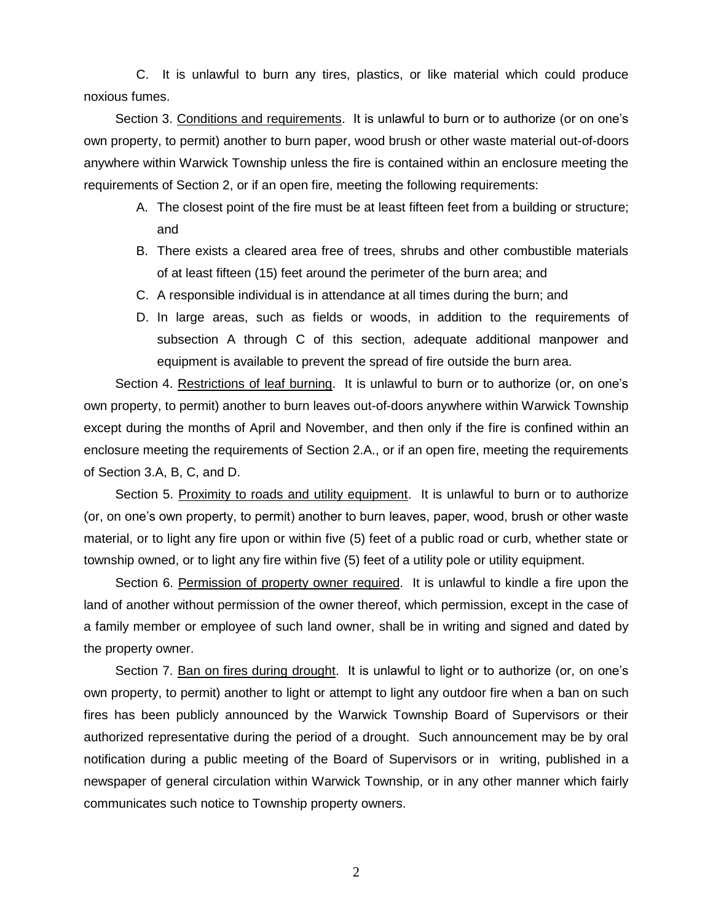C. It is unlawful to burn any tires, plastics, or like material which could produce noxious fumes.

Section 3. Conditions and requirements. It is unlawful to burn or to authorize (or on one's own property, to permit) another to burn paper, wood brush or other waste material out-of-doors anywhere within Warwick Township unless the fire is contained within an enclosure meeting the requirements of Section 2, or if an open fire, meeting the following requirements:

- A. The closest point of the fire must be at least fifteen feet from a building or structure; and
- B. There exists a cleared area free of trees, shrubs and other combustible materials of at least fifteen (15) feet around the perimeter of the burn area; and
- C. A responsible individual is in attendance at all times during the burn; and
- D. In large areas, such as fields or woods, in addition to the requirements of subsection A through C of this section, adequate additional manpower and equipment is available to prevent the spread of fire outside the burn area.

Section 4. Restrictions of leaf burning. It is unlawful to burn or to authorize (or, on one's own property, to permit) another to burn leaves out-of-doors anywhere within Warwick Township except during the months of April and November, and then only if the fire is confined within an enclosure meeting the requirements of Section 2.A., or if an open fire, meeting the requirements of Section 3.A, B, C, and D.

Section 5. Proximity to roads and utility equipment. It is unlawful to burn or to authorize (or, on one's own property, to permit) another to burn leaves, paper, wood, brush or other waste material, or to light any fire upon or within five (5) feet of a public road or curb, whether state or township owned, or to light any fire within five (5) feet of a utility pole or utility equipment.

Section 6. Permission of property owner required. It is unlawful to kindle a fire upon the land of another without permission of the owner thereof, which permission, except in the case of a family member or employee of such land owner, shall be in writing and signed and dated by the property owner.

Section 7. Ban on fires during drought. It is unlawful to light or to authorize (or, on one's own property, to permit) another to light or attempt to light any outdoor fire when a ban on such fires has been publicly announced by the Warwick Township Board of Supervisors or their authorized representative during the period of a drought. Such announcement may be by oral notification during a public meeting of the Board of Supervisors or in writing, published in a newspaper of general circulation within Warwick Township, or in any other manner which fairly communicates such notice to Township property owners.